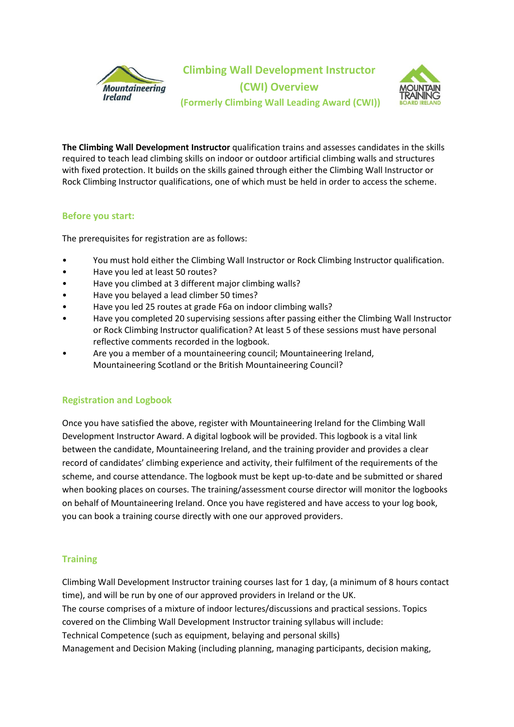

**Climbing Wall Development Instructor (CWI) Overview (Formerly Climbing Wall Leading Award (CWI))**



**The Climbing Wall Development Instructor** qualification trains and assesses candidates in the skills required to teach lead climbing skills on indoor or outdoor artificial climbing walls and structures with fixed protection. It builds on the skills gained through either the Climbing Wall Instructor or Rock Climbing Instructor qualifications, one of which must be held in order to access the scheme.

## **Before you start:**

The prerequisites for registration are as follows:

- You must hold either the Climbing Wall Instructor or Rock Climbing Instructor qualification.
- Have you led at least 50 routes?
- Have you climbed at 3 different major climbing walls?
- Have you belayed a lead climber 50 times?
- Have you led 25 routes at grade F6a on indoor climbing walls?
- Have you completed 20 supervising sessions after passing either the Climbing Wall Instructor or Rock Climbing Instructor qualification? At least 5 of these sessions must have personal reflective comments recorded in the logbook.
- Are you a member of a mountaineering council; Mountaineering Ireland, Mountaineering Scotland or the British Mountaineering Council?

## **Registration and Logbook**

Once you have satisfied the above, register with Mountaineering Ireland for the Climbing Wall Development Instructor Award. A digital logbook will be provided. This logbook is a vital link between the candidate, Mountaineering Ireland, and the training provider and provides a clear record of candidates' climbing experience and activity, their fulfilment of the requirements of the scheme, and course attendance. The logbook must be kept up-to-date and be submitted or shared when booking places on courses. The training/assessment course director will monitor the logbooks on behalf of Mountaineering Ireland. Once you have registered and have access to your log book, you can book a training course directly with one our approved providers.

## **Training**

Climbing Wall Development Instructor training courses last for 1 day, (a minimum of 8 hours contact time), and will be run by one of our approved providers in Ireland or the UK. The course comprises of a mixture of indoor lectures/discussions and practical sessions. Topics covered on the Climbing Wall Development Instructor training syllabus will include: Technical Competence (such as equipment, belaying and personal skills) Management and Decision Making (including planning, managing participants, decision making,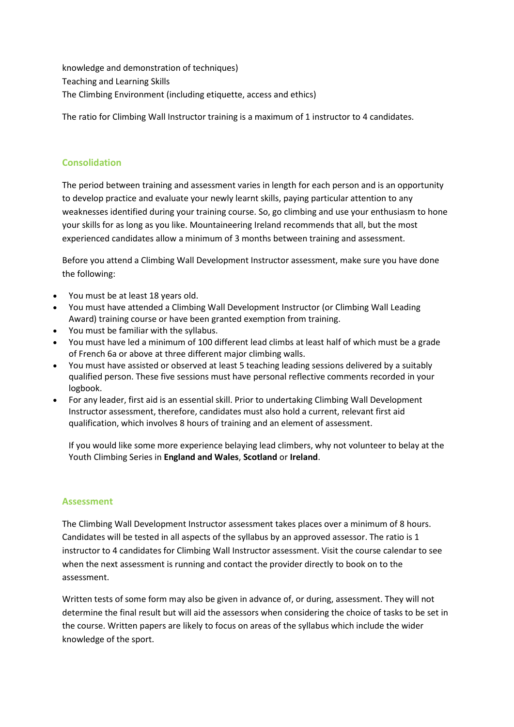knowledge and demonstration of techniques) Teaching and Learning Skills The Climbing Environment (including etiquette, access and ethics)

The ratio for Climbing Wall Instructor training is a maximum of 1 instructor to 4 candidates.

# **Consolidation**

The period between training and assessment varies in length for each person and is an opportunity to develop practice and evaluate your newly learnt skills, paying particular attention to any weaknesses identified during your training course. So, go climbing and use your enthusiasm to hone your skills for as long as you like. Mountaineering Ireland recommends that all, but the most experienced candidates allow a minimum of 3 months between training and assessment.

Before you attend a Climbing Wall Development Instructor assessment, make sure you have done the following:

- You must be at least 18 years old.
- You must have attended a Climbing Wall Development Instructor (or Climbing Wall Leading Award) training course or have been granted exemption from training.
- You must be familiar with the syllabus.
- You must have led a minimum of 100 different lead climbs at least half of which must be a grade of French 6a or above at three different major climbing walls.
- You must have assisted or observed at least 5 teaching leading sessions delivered by a suitably qualified person. These five sessions must have personal reflective comments recorded in your logbook.
- For any leader, first aid is an essential skill. Prior to undertaking Climbing Wall Development Instructor assessment, therefore, candidates must also hold a current, relevant first aid qualification, which involves 8 hours of training and an element of assessment.

If you would like some more experience belaying lead climbers, why not volunteer to belay at the Youth Climbing Series in **[England and Wales](https://www.thebmc.co.uk/bmc-youth-climbing-series-2018)**, **[Scotland](http://www.climbscotland.net/moving-on-up/competitions/youth-climbing-series-2018)** or **[Ireland](http://www.mountaineering.ie/Climbing/CompetitionClimbing/YouthClimbingSeries/default.aspx)**.

#### **Assessment**

The Climbing Wall Development Instructor assessment takes places over a minimum of 8 hours. Candidates will be tested in all aspects of the syllabus by an approved assessor. The ratio is 1 instructor to 4 candidates for Climbing Wall Instructor assessment. Visit the course calendar to see when the next assessment is running and contact the provider directly to book on to the assessment.

Written tests of some form may also be given in advance of, or during, assessment. They will not determine the final result but will aid the assessors when considering the choice of tasks to be set in the course. Written papers are likely to focus on areas of the syllabus which include the wider knowledge of the sport.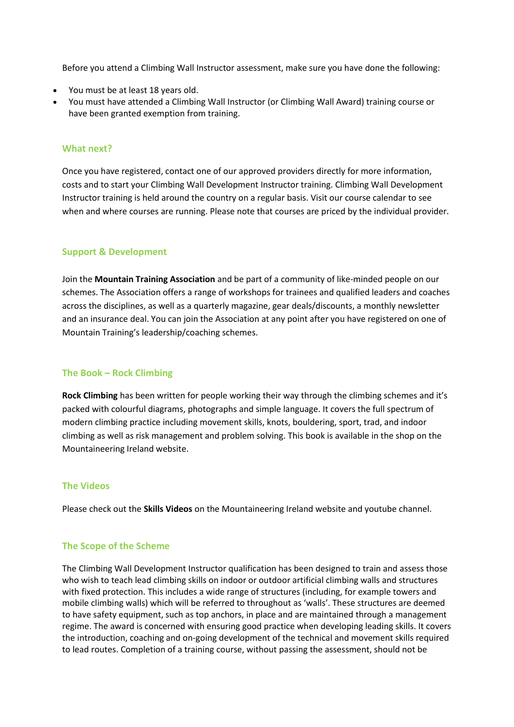Before you attend a Climbing Wall Instructor assessment, make sure you have done the following:

- You must be at least 18 years old.
- You must have attended a Climbing Wall Instructor (or Climbing Wall Award) training course or have been granted exemption from training.

#### **What next?**

Once you have registered, contact one of our approved providers directly for more information, costs and to start your Climbing Wall Development Instructor training. Climbing Wall Development Instructor training is held around the country on a regular basis. Visit our course calendar to see when and where courses are running. Please note that courses are priced by the individual provider.

### **Support & Development**

Join the **Mountain Training Association** and be part of a community of like-minded people on our schemes. The Association offers a range of workshops for trainees and qualified leaders and coaches across the disciplines, as well as a quarterly magazine, gear deals/discounts, a monthly newsletter and an insurance deal. You can join the Association at any point after you have registered on one of Mountain Training's leadership/coaching schemes.

#### **The Book – Rock Climbing**

**Rock Climbing** has been written for people working their way through the climbing schemes and it's packed with colourful diagrams, photographs and simple language. It covers the full spectrum of modern climbing practice including movement skills, knots, bouldering, sport, trad, and indoor climbing as well as risk management and problem solving. This book is available in the shop on the Mountaineering Ireland website.

#### **The Videos**

Please check out the **Skills Videos** on the Mountaineering Ireland website and youtube channel.

## **The Scope of the Scheme**

The Climbing Wall Development Instructor qualification has been designed to train and assess those who wish to teach lead climbing skills on indoor or outdoor artificial climbing walls and structures with fixed protection. This includes a wide range of structures (including, for example towers and mobile climbing walls) which will be referred to throughout as 'walls'. These structures are deemed to have safety equipment, such as top anchors, in place and are maintained through a management regime. The award is concerned with ensuring good practice when developing leading skills. It covers the introduction, coaching and on-going development of the technical and movement skills required to lead routes. Completion of a training course, without passing the assessment, should not be